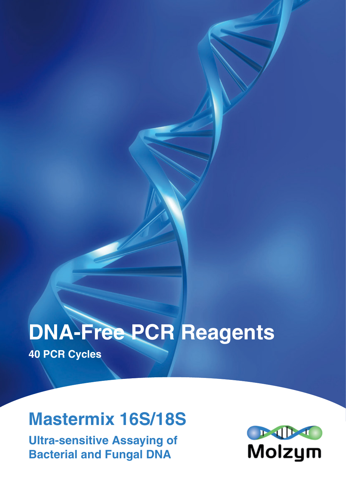# **DNA-Free PCR Reagents**

**40 PCR Cycles**

## **Mastermix 16S/18S**

**Ultra-sensitive Assaying of Bacterial and Fungal DNA**

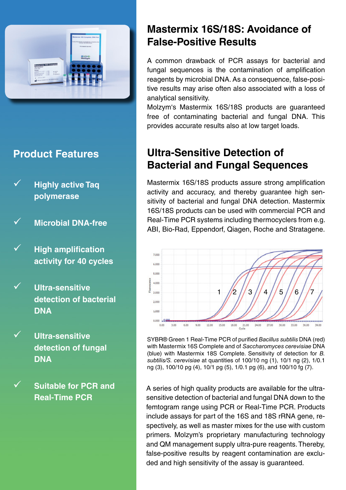

**Product Features**

 **Highly active Taq polymerase**

 **Microbial DNA-free** 

- **High amplification activity for 40 cycles**
- **Ultra-sensitive detection of bacterial DNA**
- **Ultra-sensitive detection of fungal DNA**
	- **Suitable for PCR and Real-Time PCR**

### **Mastermix 16S/18S: Avoidance of False-Positive Results**

A common drawback of PCR assays for bacterial and fungal sequences is the contamination of amplification reagents by microbial DNA. As a consequence, false-positive results may arise often also associated with a loss of analytical sensitivity.

Molzym's Mastermix 16S/18S products are guaranteed free of contaminating bacterial and fungal DNA. This provides accurate results also at low target loads.

## **Ultra-Sensitive Detection of Bacterial and Fungal Sequences**

Mastermix 16S/18S products assure strong amplification activity and accuracy, and thereby guarantee high sensitivity of bacterial and fungal DNA detection. Mastermix 16S/18S products can be used with commercial PCR and Real-Time PCR systems including thermocyclers from e.g. ABI, Bio-Rad, Eppendorf, Qiagen, Roche and Stratagene.



SYBR® Green 1 Real-Time PCR of purified *Bacillus subtilis* DNA (red) with Mastermix 16S Complete and of *Saccharomyces cerevisiae* DNA (blue) with Mastermix 18S Complete. Sensitivity of detection for *B. subtilis/S. cerevisiae* at quantities of 100/10 ng (1), 10/1 ng (2), 1/0.1 ng (3), 100/10 pg (4), 10/1 pg (5), 1/0.1 pg (6), and 100/10 fg (7).

A series of high quality products are available for the ultrasensitive detection of bacterial and fungal DNA down to the femtogram range using PCR or Real-Time PCR. Products include assays for part of the 16S and 18S rRNA gene, respectively, as well as master mixes for the use with custom primers. Molzym's proprietary manufacturing technology and QM management supply ultra-pure reagents. Thereby, false-positive results by reagent contamination are excluded and high sensitivity of the assay is guaranteed.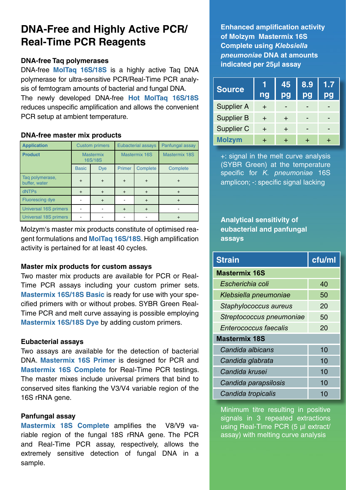## **DNA-Free and Highly Active PCR/ Real-Time PCR Reagents**

#### **DNA-free Taq polymerases**

DNA-free **MolTaq 16S/18S** is a highly active Taq DNA polymerase for ultra-sensitive PCR/Real-Time PCR analysis of femtogram amounts of bacterial and fungal DNA. The newly developed DNA-free **Hot MolTaq 16S/18S** reduces unspecific amplification and allows the convenient PCR setup at ambient temperature.

#### **DNA-free master mix products**

| <b>Application</b>               |                             | <b>Custom primers</b> | <b>Eubacterial assays</b> |           | Panfungal assay |
|----------------------------------|-----------------------------|-----------------------|---------------------------|-----------|-----------------|
| <b>Product</b>                   | <b>Mastermix</b><br>16S/18S |                       | Mastermix 16S             |           | Mastermix 18S   |
|                                  | <b>Basic</b>                | <b>Dye</b>            | Primer                    | Complete  | Complete        |
| Tag polymerase,<br>buffer, water | $+$                         | $+$                   | $\ddot{}$                 | $\ddot{}$ | +               |
| dNTPs                            | $\boldsymbol{+}$            | $+$                   | $\div$                    | $^{+}$    |                 |
| Fluorescing dye                  |                             | $+$                   |                           | $^{+}$    |                 |
| Universal 16S primers            |                             |                       | $+$                       | $^{+}$    |                 |
| Universal 18S primers            |                             |                       |                           |           |                 |

Molzym's master mix products constitute of optimised reagent formulations and **MolTaq 16S/18S**. High amplification activity is pertained for at least 40 cycles.

#### **Master mix products for custom assays**

Two master mix products are available for PCR or Real-Time PCR assays including your custom primer sets. **Mastermix 16S/18S Basic** is ready for use with your specified primers with or without probes. SYBR Green Real-Time PCR and melt curve assaying is possible employing **Mastermix 16S/18S Dye** by adding custom primers.

#### **Eubacterial assays**

Two assays are available for the detection of bacterial DNA. **Mastermix 16S Primer** is designed for PCR and **Mastermix 16S Complete** for Real-Time PCR testings. The master mixes include universal primers that bind to conserved sites flanking the V3/V4 variable region of the 16S rRNA gene.

#### **Panfungal assay**

**Mastermix 18S Complete** amplifies the V8/V9 variable region of the fungal 18S rRNA gene. The PCR and Real-Time PCR assay, respectively, allows the extremely sensitive detection of fungal DNA in a sample.

**Enhanced amplification activity of Molzym Mastermix 16S Complete using** *Klebsiella pneumoniae* **DNA at amounts indicated per 25µl assay**

| <b>Source</b>     | ng     | 45<br>pg | 8.9<br>pg | 1.7<br>pg |
|-------------------|--------|----------|-----------|-----------|
| <b>Supplier A</b> | ┿      |          |           |           |
| <b>Supplier B</b> | $\div$ |          |           |           |
| Supplier C        | $\div$ |          |           |           |
| <b>Molzym</b>     |        |          |           |           |

+: signal in the melt curve analysis (SYBR Green) at the temperature specific for *K. pneumoniae* 16S amplicon; -: specific signal lacking

**Analytical sensitivity of eubacterial and panfungal assays**

| <b>Strain</b>            | cfu/ml |  |  |  |
|--------------------------|--------|--|--|--|
| <b>Mastermix 16S</b>     |        |  |  |  |
| Escherichia coli         | 40     |  |  |  |
| Klebsiella pneumoniae    | 50     |  |  |  |
| Staphylococcus aureus    | 20     |  |  |  |
| Streptococcus pneumoniae | 50     |  |  |  |
| Enterococcus faecalis    | 20     |  |  |  |
| <b>Mastermix 18S</b>     |        |  |  |  |
| Candida albicans         | 10     |  |  |  |
| Candida glabrata         | 10     |  |  |  |
| Candida krusei           | 10     |  |  |  |
| Candida parapsilosis     | 10     |  |  |  |
| Candida tropicalis       | 10     |  |  |  |

Minimum titre resulting in positive signals in 3 repeated extractions using Real-Time PCR (5 µl extract/ assay) with melting curve analysis